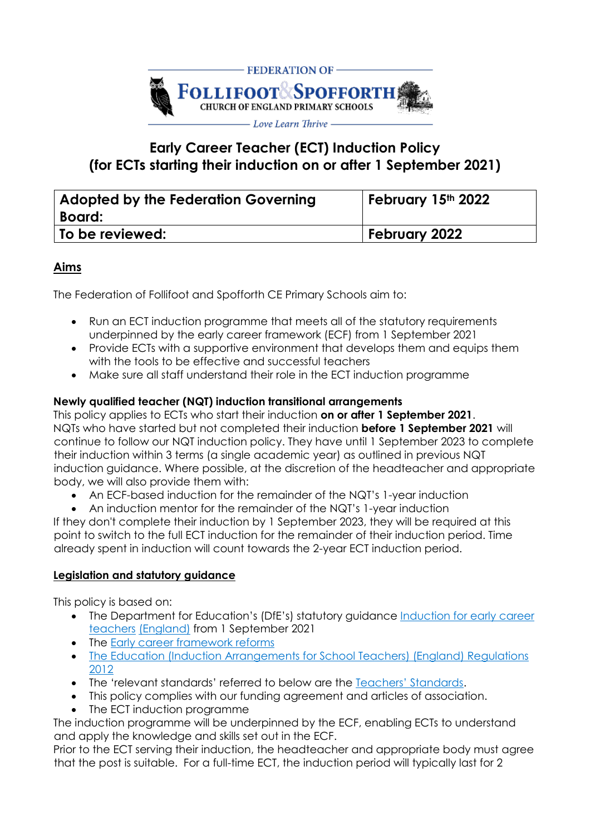

# **Early Career Teacher (ECT) Induction Policy (for ECTs starting their induction on or after 1 September 2021)**

| Adopted by the Federation Governing<br>  Board: | February 15th 2022   |
|-------------------------------------------------|----------------------|
| <b>To be reviewed:</b>                          | <b>February 2022</b> |

# **Aims**

The Federation of Follifoot and Spofforth CE Primary Schools aim to:

- Run an ECT induction programme that meets all of the statutory requirements underpinned by the early career framework (ECF) from 1 September 2021
- Provide ECTs with a supportive environment that develops them and equips them with the tools to be effective and successful teachers
- Make sure all staff understand their role in the ECT induction programme

## **Newly qualified teacher (NQT) induction transitional arrangements**

This policy applies to ECTs who start their induction **on or after 1 September 2021**. NQTs who have started but not completed their induction **before 1 September 2021** will continue to follow our NQT induction policy. They have until 1 September 2023 to complete their induction within 3 terms (a single academic year) as outlined in previous NQT induction guidance. Where possible, at the discretion of the headteacher and appropriate body, we will also provide them with:

- An ECF-based induction for the remainder of the NQT's 1-year induction
- An induction mentor for the remainder of the NQT's 1-year induction

If they don't complete their induction by 1 September 2023, they will be required at this point to switch to the full ECT induction for the remainder of their induction period. Time already spent in induction will count towards the 2-year ECT induction period.

#### **Legislation and statutory guidance**

This policy is based on:

- The Department for Education's (DfE's) statutory guidance Induction for early career [teachers](https://www.gov.uk/government/publications/induction-for-early-career-teachers-england) [\(England\)](https://www.gov.uk/government/publications/induction-for-early-career-teachers-england) from 1 September 2021
- The [Early career framework reforms](https://www.gov.uk/government/collections/early-career-framework-reforms)
- [The Education \(Induction Arrangements for School Teachers\) \(England\) Regulations](http://www.legislation.gov.uk/uksi/2012/1115/contents/made)  [2012](http://www.legislation.gov.uk/uksi/2012/1115/contents/made)
- The 'relevant standards' referred to below are the [Teachers' Standards](https://www.gov.uk/government/publications/teachers-standards)[.](https://www.gov.uk/government/publications/teachers-standards)
- This policy complies with our funding agreement and articles of association.
- The ECT induction programme

The induction programme will be underpinned by the ECF, enabling ECTs to understand and apply the knowledge and skills set out in the ECF.

Prior to the ECT serving their induction, the headteacher and appropriate body must agree that the post is suitable. For a full-time ECT, the induction period will typically last for 2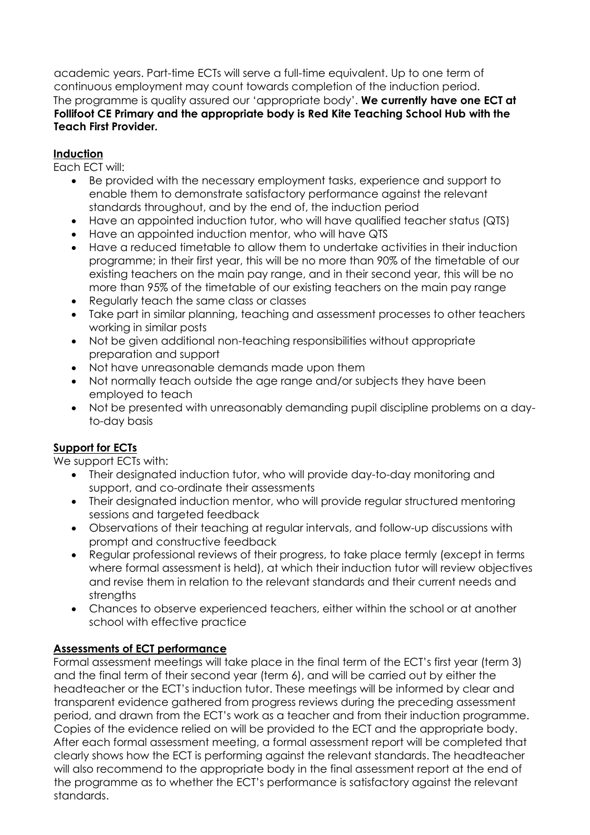academic years. Part-time ECTs will serve a full-time equivalent. Up to one term of continuous employment may count towards completion of the induction period. The programme is quality assured our 'appropriate body'. **We currently have one ECT at Follifoot CE Primary and the appropriate body is Red Kite Teaching School Hub with the Teach First Provider.**

# **Induction**

Each ECT will:

- Be provided with the necessary employment tasks, experience and support to enable them to demonstrate satisfactory performance against the relevant standards throughout, and by the end of, the induction period
- Have an appointed induction tutor, who will have qualified teacher status (QTS)
- Have an appointed induction mentor, who will have QTS
- Have a reduced timetable to allow them to undertake activities in their induction programme; in their first year, this will be no more than 90% of the timetable of our existing teachers on the main pay range, and in their second year, this will be no more than 95% of the timetable of our existing teachers on the main pay range
- Requiarly teach the same class or classes
- Take part in similar planning, teaching and assessment processes to other teachers working in similar posts
- Not be given additional non-teaching responsibilities without appropriate preparation and support
- Not have unreasonable demands made upon them
- Not normally teach outside the age range and/or subjects they have been employed to teach
- Not be presented with unreasonably demanding pupil discipline problems on a dayto-day basis

# **Support for ECTs**

We support ECTs with:

- Their designated induction tutor, who will provide day-to-day monitoring and support, and co-ordinate their assessments
- Their designated induction mentor, who will provide regular structured mentoring sessions and targeted feedback
- Observations of their teaching at regular intervals, and follow-up discussions with prompt and constructive feedback
- Regular professional reviews of their progress, to take place termly (except in terms where formal assessment is held), at which their induction tutor will review objectives and revise them in relation to the relevant standards and their current needs and strengths
- Chances to observe experienced teachers, either within the school or at another school with effective practice

# **Assessments of ECT performance**

Formal assessment meetings will take place in the final term of the ECT's first year (term 3) and the final term of their second year (term 6), and will be carried out by either the headteacher or the ECT's induction tutor. These meetings will be informed by clear and transparent evidence gathered from progress reviews during the preceding assessment period, and drawn from the ECT's work as a teacher and from their induction programme. Copies of the evidence relied on will be provided to the ECT and the appropriate body. After each formal assessment meeting, a formal assessment report will be completed that clearly shows how the ECT is performing against the relevant standards. The headteacher will also recommend to the appropriate body in the final assessment report at the end of the programme as to whether the ECT's performance is satisfactory against the relevant standards.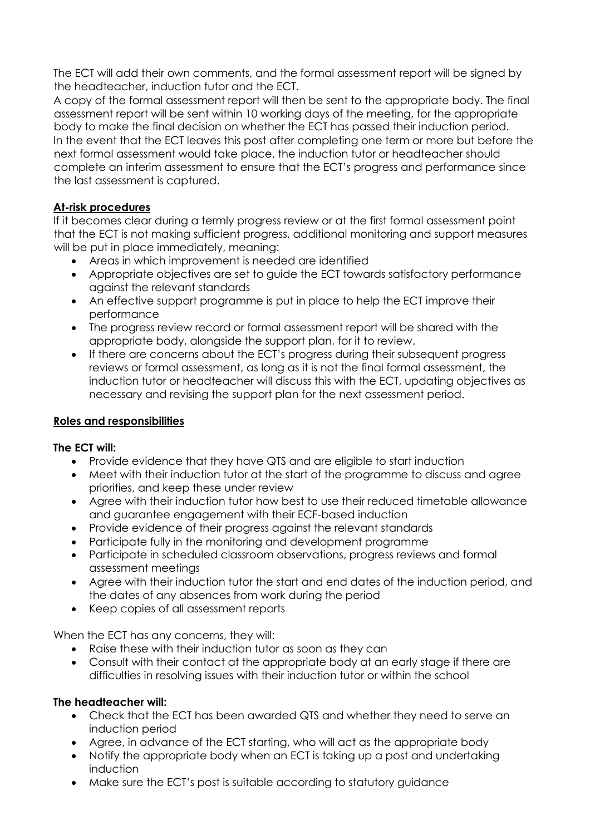The ECT will add their own comments, and the formal assessment report will be signed by the headteacher, induction tutor and the ECT.

A copy of the formal assessment report will then be sent to the appropriate body. The final assessment report will be sent within 10 working days of the meeting, for the appropriate body to make the final decision on whether the ECT has passed their induction period. In the event that the ECT leaves this post after completing one term or more but before the next formal assessment would take place, the induction tutor or headteacher should complete an interim assessment to ensure that the ECT's progress and performance since the last assessment is captured.

# **At-risk procedures**

If it becomes clear during a termly progress review or at the first formal assessment point that the ECT is not making sufficient progress, additional monitoring and support measures will be put in place immediately, meaning:

- Areas in which improvement is needed are identified
- Appropriate objectives are set to guide the ECT towards satisfactory performance against the relevant standards
- An effective support programme is put in place to help the ECT improve their performance
- The progress review record or formal assessment report will be shared with the appropriate body, alongside the support plan, for it to review.
- If there are concerns about the ECT's progress during their subsequent progress reviews or formal assessment, as long as it is not the final formal assessment, the induction tutor or headteacher will discuss this with the ECT, updating objectives as necessary and revising the support plan for the next assessment period.

#### **Roles and responsibilities**

#### **The ECT will:**

- Provide evidence that they have QTS and are eligible to start induction
- Meet with their induction tutor at the start of the programme to discuss and agree priorities, and keep these under review
- Agree with their induction tutor how best to use their reduced timetable allowance and guarantee engagement with their ECF-based induction
- Provide evidence of their progress against the relevant standards
- Participate fully in the monitoring and development programme
- Participate in scheduled classroom observations, progress reviews and formal assessment meetings
- Agree with their induction tutor the start and end dates of the induction period, and the dates of any absences from work during the period
- Keep copies of all assessment reports

When the ECT has any concerns, they will:

- Raise these with their induction tutor as soon as they can
- Consult with their contact at the appropriate body at an early stage if there are difficulties in resolving issues with their induction tutor or within the school

#### **The headteacher will:**

- Check that the ECT has been awarded QTS and whether they need to serve an induction period
- Agree, in advance of the ECT starting, who will act as the appropriate body
- Notify the appropriate body when an ECT is taking up a post and undertaking induction
- Make sure the ECT's post is suitable according to statutory guidance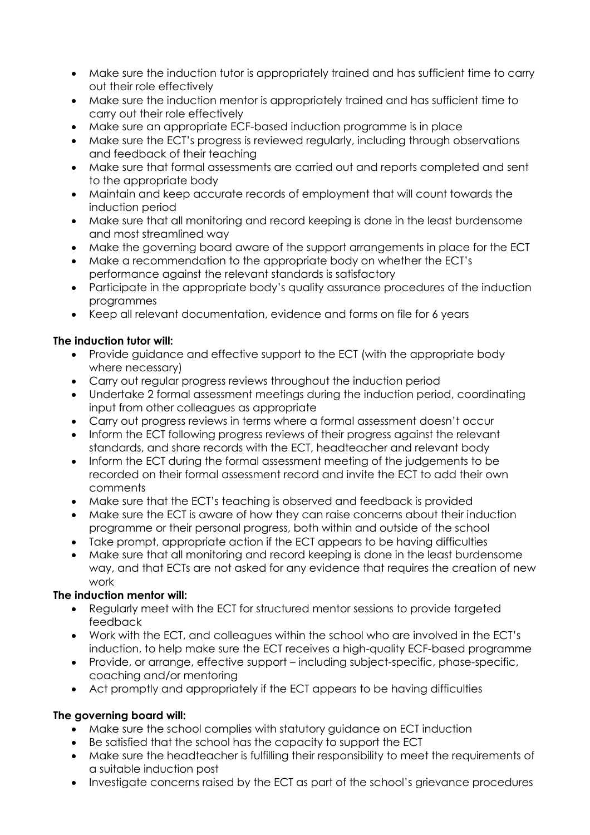- Make sure the induction tutor is appropriately trained and has sufficient time to carry out their role effectively
- Make sure the induction mentor is appropriately trained and has sufficient time to carry out their role effectively
- Make sure an appropriate ECF-based induction programme is in place
- Make sure the ECT's progress is reviewed regularly, including through observations and feedback of their teaching
- Make sure that formal assessments are carried out and reports completed and sent to the appropriate body
- Maintain and keep accurate records of employment that will count towards the induction period
- Make sure that all monitoring and record keeping is done in the least burdensome and most streamlined way
- Make the governing board aware of the support arrangements in place for the ECT
- Make a recommendation to the appropriate body on whether the ECT's performance against the relevant standards is satisfactory
- Participate in the appropriate body's quality assurance procedures of the induction programmes
- Keep all relevant documentation, evidence and forms on file for 6 years

## **The induction tutor will:**

- Provide guidance and effective support to the ECT (with the appropriate body where necessary)
- Carry out regular progress reviews throughout the induction period
- Undertake 2 formal assessment meetings during the induction period, coordinating input from other colleagues as appropriate
- Carry out progress reviews in terms where a formal assessment doesn't occur
- Inform the ECT following progress reviews of their progress against the relevant standards, and share records with the ECT, headteacher and relevant body
- Inform the ECT during the formal assessment meeting of the judgements to be recorded on their formal assessment record and invite the ECT to add their own comments
- Make sure that the ECT's teaching is observed and feedback is provided
- Make sure the ECT is aware of how they can raise concerns about their induction programme or their personal progress, both within and outside of the school
- Take prompt, appropriate action if the ECT appears to be having difficulties
- Make sure that all monitoring and record keeping is done in the least burdensome way, and that ECTs are not asked for any evidence that requires the creation of new work

# **The induction mentor will:**

- Regularly meet with the ECT for structured mentor sessions to provide targeted feedback
- Work with the ECT, and colleagues within the school who are involved in the ECT's induction, to help make sure the ECT receives a high-quality ECF-based programme
- Provide, or arrange, effective support including subject-specific, phase-specific, coaching and/or mentoring
- Act promptly and appropriately if the ECT appears to be having difficulties

# **The governing board will:**

- Make sure the school complies with statutory guidance on ECT induction
- Be satisfied that the school has the capacity to support the ECT
- Make sure the headteacher is fulfilling their responsibility to meet the requirements of a suitable induction post
- Investigate concerns raised by the ECT as part of the school's grievance procedures